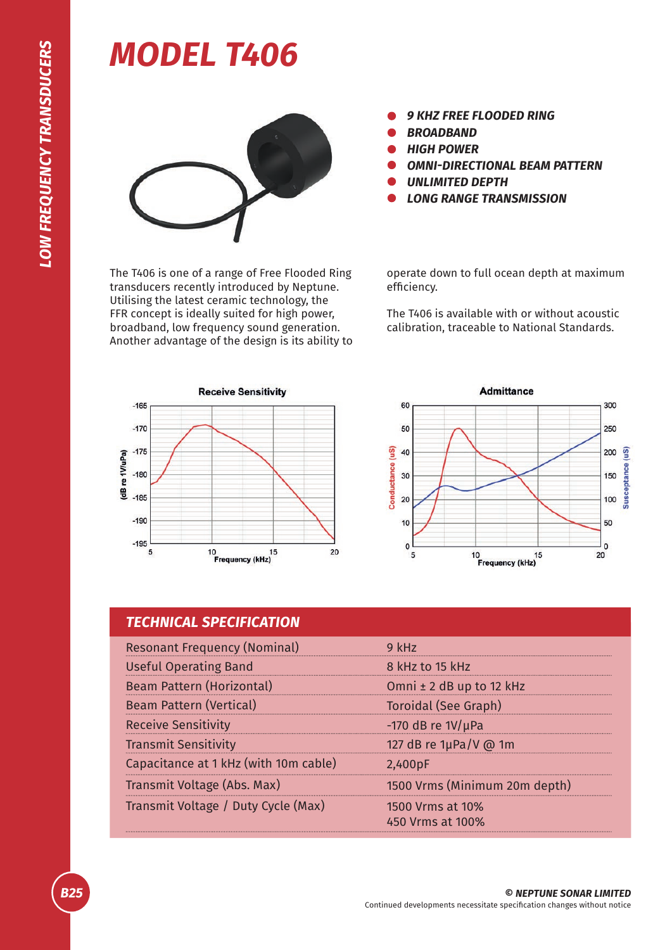## *MODEL T406*



*9 KHZ FREE FLOODED RING*

- *BROADBAND*
- *HIGH POWER*
- *OMNI-DIRECTIONAL BEAM PATTERN*
- *UNLIMITED DEPTH*
- *LONG RANGE TRANSMISSION*

The T406 is one of a range of Free Flooded Ring transducers recently introduced by Neptune. Utilising the latest ceramic technology, the FFR concept is ideally suited for high power, broadband, low frequency sound generation. Another advantage of the design is its ability to operate down to full ocean depth at maximum efficiency.

The T406 is available with or without acoustic calibration, traceable to National Standards.





| <b>TECHNICAL SPECIFICATION</b>        |                                      |
|---------------------------------------|--------------------------------------|
| <b>Resonant Frequency (Nominal)</b>   | $9$ kHz                              |
| <b>Useful Operating Band</b>          | 8 kHz to 15 kHz                      |
| Beam Pattern (Horizontal)             | Omni ± 2 dB up to 12 kHz             |
| <b>Beam Pattern (Vertical)</b>        | <b>Toroidal (See Graph)</b>          |
| <b>Receive Sensitivity</b>            | -170 dB re $1V/\mu$ Pa               |
| <b>Transmit Sensitivity</b>           | 127 dB re 1µPa/V @ 1m                |
| Capacitance at 1 kHz (with 10m cable) | 2,400pF                              |
| Transmit Voltage (Abs. Max)           | 1500 Vrms (Minimum 20m depth)        |
| Transmit Voltage / Duty Cycle (Max)   | 1500 Vrms at 10%<br>450 Vrms at 100% |